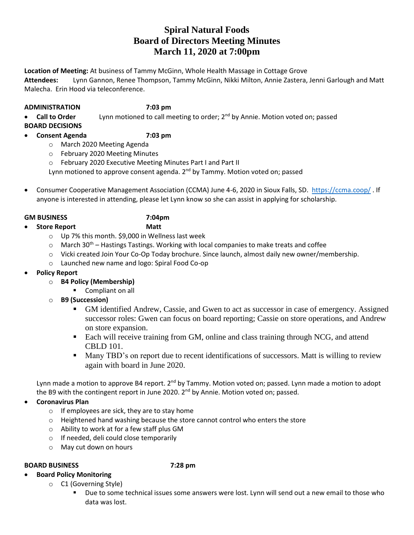# **Spiral Natural Foods Board of Directors Meeting Minutes March 11, 2020 at 7:00pm**

**Location of Meeting:** At business of Tammy McGinn, Whole Health Massage in Cottage Grove

**Attendees:** Lynn Gannon, Renee Thompson, Tammy McGinn, Nikki Milton, Annie Zastera, Jenni Garlough and Matt Malecha. Erin Hood via teleconference.

### **ADMINISTRATION 7:03 pm**

• **Call to Order** Lynn motioned to call meeting to order; 2nd by Annie. Motion voted on; passed

**BOARD DECISIONS**

# • **Consent Agenda 7:03 pm**

- o March 2020 Meeting Agenda
- o February 2020 Meeting Minutes
- o February 2020 Executive Meeting Minutes Part I and Part II

Lynn motioned to approve consent agenda. 2<sup>nd</sup> by Tammy. Motion voted on; passed

• Consumer Cooperative Management Association (CCMA) June 4-6, 2020 in Sioux Falls, SD. <https://ccma.coop/> . If anyone is interested in attending, please let Lynn know so she can assist in applying for scholarship.

### **GM BUSINESS 7:04pm**

- **Store Report Matt**
	-
	- o Up 7% this month. \$9,000 in Wellness last week
	- $\circ$  March 30<sup>th</sup> Hastings Tastings. Working with local companies to make treats and coffee
	- o Vicki created Join Your Co-Op Today brochure. Since launch, almost daily new owner/membership.
	- o Launched new name and logo: Spiral Food Co-op
- **Policy Report**
	- o **B4 Policy (Membership)**
		- Compliant on all
	- o **B9 (Succession)**
		- GM identified Andrew, Cassie, and Gwen to act as successor in case of emergency. Assigned successor roles: Gwen can focus on board reporting; Cassie on store operations, and Andrew on store expansion.
		- Each will receive training from GM, online and class training through NCG, and attend CBLD 101.
		- Many TBD's on report due to recent identifications of successors. Matt is willing to review again with board in June 2020.

Lynn made a motion to approve B4 report. 2<sup>nd</sup> by Tammy. Motion voted on; passed. Lynn made a motion to adopt the B9 with the contingent report in June 2020.  $2^{nd}$  by Annie. Motion voted on; passed.

- **Coronavirus Plan**
	- $\circ$  If employees are sick, they are to stay home
	- o Heightened hand washing because the store cannot control who enters the store
	- o Ability to work at for a few staff plus GM
	- o If needed, deli could close temporarily
	- o May cut down on hours

### **BOARD BUSINESS 7:28 pm**

- **Board Policy Monitoring** 
	- o C1 (Governing Style)
		- Due to some technical issues some answers were lost. Lynn will send out a new email to those who data was lost.